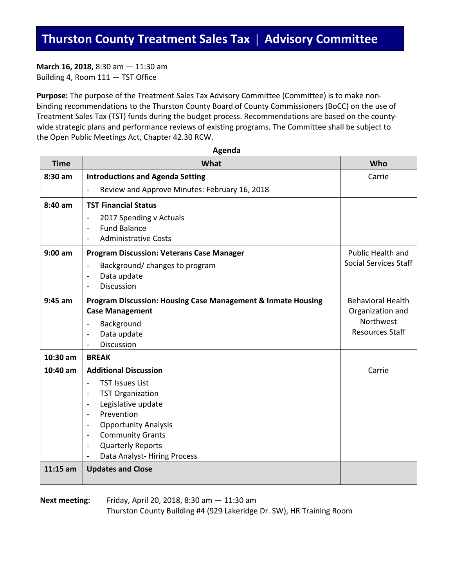**March 16, 2018,** 8:30 am — 11:30 am Building 4, Room 111 — TST Office

**Purpose:** The purpose of the Treatment Sales Tax Advisory Committee (Committee) is to make nonbinding recommendations to the Thurston County Board of County Commissioners (BoCC) on the use of Treatment Sales Tax (TST) funds during the budget process. Recommendations are based on the countywide strategic plans and performance reviews of existing programs. The Committee shall be subject to the Open Public Meetings Act, Chapter 42.30 RCW.

| <b>Time</b> | What                                                                                                                                                                                   | Who                                               |
|-------------|----------------------------------------------------------------------------------------------------------------------------------------------------------------------------------------|---------------------------------------------------|
| 8:30 am     | <b>Introductions and Agenda Setting</b>                                                                                                                                                | Carrie                                            |
|             | Review and Approve Minutes: February 16, 2018<br>$\overline{a}$                                                                                                                        |                                                   |
| 8:40 am     | <b>TST Financial Status</b>                                                                                                                                                            |                                                   |
|             | 2017 Spending v Actuals<br>$\overline{\phantom{0}}$<br><b>Fund Balance</b><br>$\overline{\phantom{a}}$<br><b>Administrative Costs</b><br>$\overline{a}$                                |                                                   |
| $9:00$ am   | <b>Program Discussion: Veterans Case Manager</b><br>Background/ changes to program<br>$\overline{\phantom{0}}$<br>Data update<br>$\overline{a}$<br><b>Discussion</b><br>$\overline{a}$ | Public Health and<br><b>Social Services Staff</b> |
| $9:45$ am   | <b>Program Discussion: Housing Case Management &amp; Inmate Housing</b><br><b>Case Management</b>                                                                                      | <b>Behavioral Health</b><br>Organization and      |
|             | Background<br>۰                                                                                                                                                                        | Northwest                                         |
|             | Data update<br>$\overline{a}$                                                                                                                                                          | <b>Resources Staff</b>                            |
|             | <b>Discussion</b>                                                                                                                                                                      |                                                   |
| 10:30 am    | <b>BREAK</b>                                                                                                                                                                           |                                                   |
| 10:40 am    | <b>Additional Discussion</b>                                                                                                                                                           | Carrie                                            |
|             | <b>TST Issues List</b><br>$\overline{a}$                                                                                                                                               |                                                   |
|             | <b>TST Organization</b><br>$\overline{\phantom{a}}$                                                                                                                                    |                                                   |
|             | Legislative update<br>$\overline{\phantom{a}}$<br>Prevention                                                                                                                           |                                                   |
|             | $\overline{\phantom{a}}$<br><b>Opportunity Analysis</b><br>$\overline{\phantom{a}}$                                                                                                    |                                                   |
|             | <b>Community Grants</b><br>$\overline{\phantom{a}}$                                                                                                                                    |                                                   |
|             | <b>Quarterly Reports</b><br>$\overline{\phantom{a}}$                                                                                                                                   |                                                   |
|             | Data Analyst-Hiring Process<br>$\overline{\phantom{0}}$                                                                                                                                |                                                   |
| $11:15$ am  | <b>Updates and Close</b>                                                                                                                                                               |                                                   |
|             |                                                                                                                                                                                        |                                                   |

**Agenda**

**Next meeting:** Friday, April 20, 2018, 8:30 am — 11:30 am Thurston County Building #4 (929 Lakeridge Dr. SW), HR Training Room